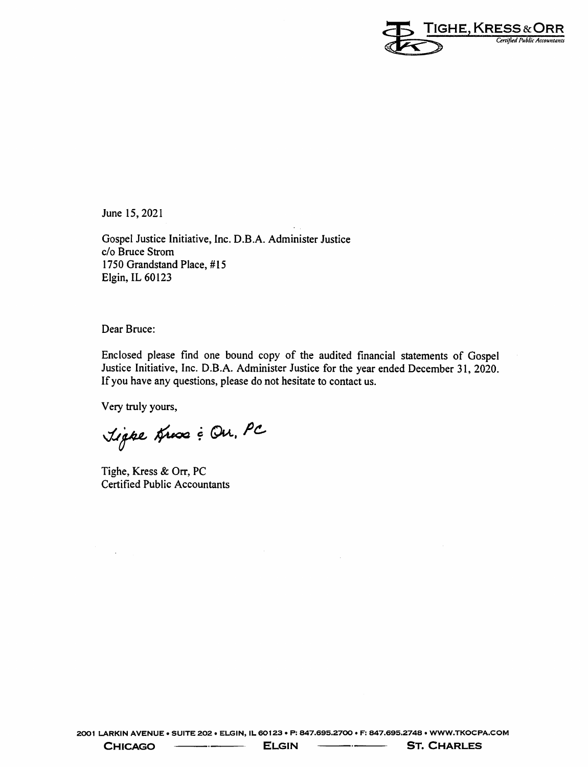

June 15, 2021

Gospel Justice Initiative, Inc. D.B.A. Administer Justice c/o Bruce Strom 1750 Grandstand Place, #15 Elgin, IL 60123

Dear Bruce:

Enclosed please find one bound copy of the audited financial statements of Gospel Justice Initiative, Inc. D.B.A. Administer Justice for the year ended December 31, 2020. If you have any questions, please do not hesitate to contact us.

Very truly yours,

Light Hux & Ou. PC

Tighe, Kress & Orr, PC **Certified Public Accountants** 

**CHICAGO**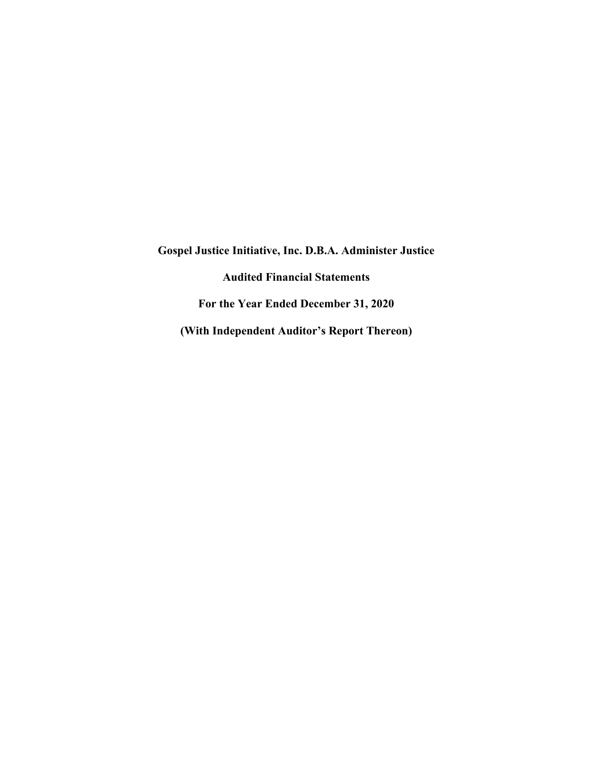**Gospel Justice Initiative, Inc. D.B.A. Administer Justice Audited Financial Statements For the Year Ended December 31, 2020 (With Independent Auditor's Report Thereon)**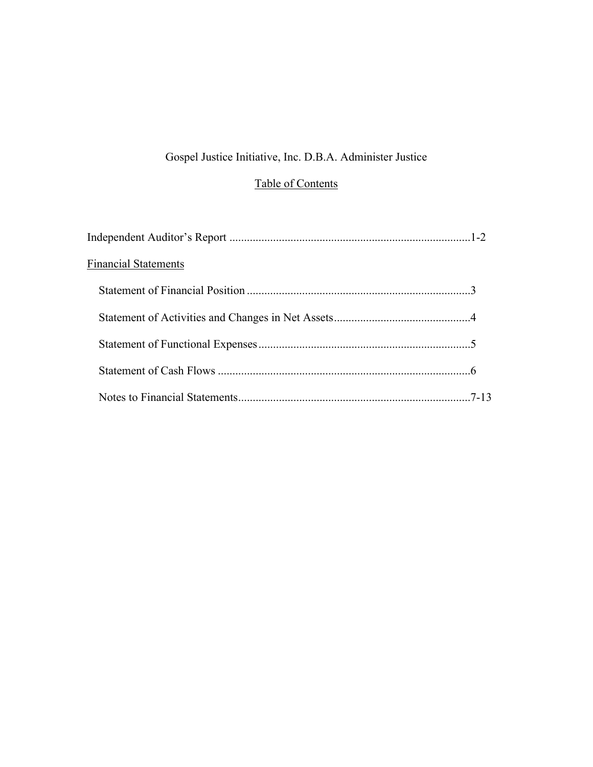# Gospel Justice Initiative, Inc. D.B.A. Administer Justice

# Table of Contents

| <b>Financial Statements</b> |  |
|-----------------------------|--|
|                             |  |
|                             |  |
|                             |  |
|                             |  |
|                             |  |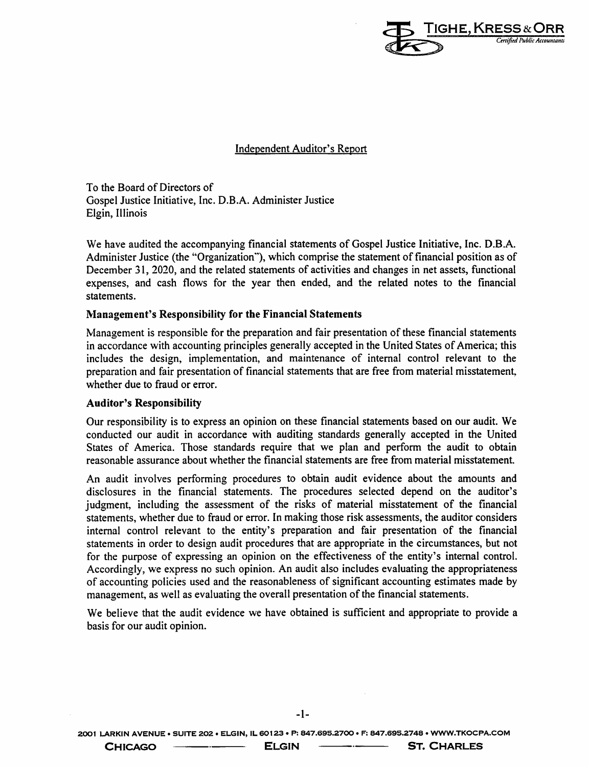

**Independent Auditor's Report** 

To the Board of Directors of Gospel Justice Initiative, Inc. D.B.A. Administer Justice Elgin, Illinois

We have audited the accompanying financial statements of Gospel Justice Initiative, Inc. D.B.A. Administer Justice (the "Organization"), which comprise the statement of financial position as of December 31, 2020, and the related statements of activities and changes in net assets, functional expenses, and cash flows for the year then ended, and the related notes to the financial statements.

#### **Management's Responsibility for the Financial Statements**

Management is responsible for the preparation and fair presentation of these financial statements in accordance with accounting principles generally accepted in the United States of America; this includes the design, implementation, and maintenance of internal control relevant to the preparation and fair presentation of financial statements that are free from material misstatement, whether due to fraud or error.

#### **Auditor's Responsibility**

Our responsibility is to express an opinion on these financial statements based on our audit. We conducted our audit in accordance with auditing standards generally accepted in the United States of America. Those standards require that we plan and perform the audit to obtain reasonable assurance about whether the financial statements are free from material misstatement.

An audit involves performing procedures to obtain audit evidence about the amounts and disclosures in the financial statements. The procedures selected depend on the auditor's judgment, including the assessment of the risks of material misstatement of the financial statements, whether due to fraud or error. In making those risk assessments, the auditor considers internal control relevant to the entity's preparation and fair presentation of the financial statements in order to design audit procedures that are appropriate in the circumstances, but not for the purpose of expressing an opinion on the effectiveness of the entity's internal control. Accordingly, we express no such opinion. An audit also includes evaluating the appropriateness of accounting policies used and the reasonableness of significant accounting estimates made by management, as well as evaluating the overall presentation of the financial statements.

We believe that the audit evidence we have obtained is sufficient and appropriate to provide a basis for our audit opinion.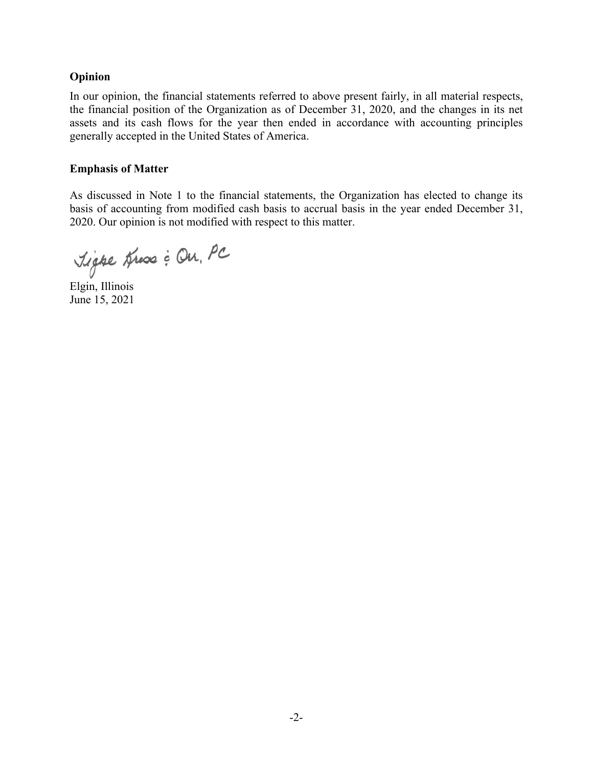# **Opinion**

In our opinion, the financial statements referred to above present fairly, in all material respects, the financial position of the Organization as of December 31, 2020, and the changes in its net assets and its cash flows for the year then ended in accordance with accounting principles generally accepted in the United States of America.

### **Emphasis of Matter**

As discussed in Note 1 to the financial statements, the Organization has elected to change its basis of accounting from modified cash basis to accrual basis in the year ended December 31, 2020. Our opinion is not modified with respect to this matter.

Tigre Hux : On, PC

Elgin, Illinois June 15, 2021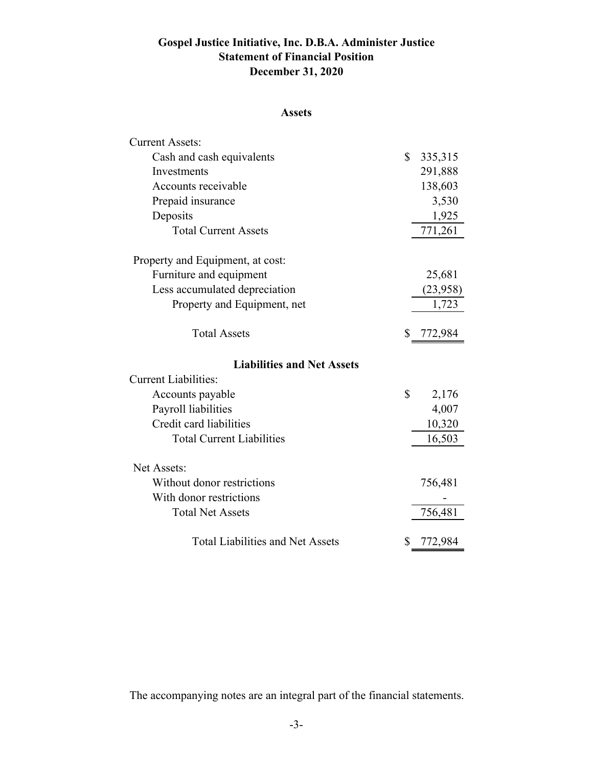# **Gospel Justice Initiative, Inc. D.B.A. Administer Justice Statement of Financial Position December 31, 2020**

# **Assets**

| <b>Current Assets:</b>                  |               |
|-----------------------------------------|---------------|
| Cash and cash equivalents               | \$<br>335,315 |
| Investments                             | 291,888       |
| Accounts receivable                     | 138,603       |
| Prepaid insurance                       | 3,530         |
| Deposits                                | 1,925         |
| <b>Total Current Assets</b>             | 771,261       |
| Property and Equipment, at cost:        |               |
| Furniture and equipment                 | 25,681        |
| Less accumulated depreciation           | (23,958)      |
| Property and Equipment, net             | 1,723         |
| <b>Total Assets</b>                     | \$<br>772,984 |
| <b>Liabilities and Net Assets</b>       |               |
| <b>Current Liabilities:</b>             |               |
| Accounts payable                        | \$<br>2,176   |
| Payroll liabilities                     | 4,007         |
| Credit card liabilities                 | 10,320        |
| <b>Total Current Liabilities</b>        | 16,503        |
| Net Assets:                             |               |
| Without donor restrictions              | 756,481       |
| With donor restrictions                 |               |
| <b>Total Net Assets</b>                 | 756,481       |
| <b>Total Liabilities and Net Assets</b> | \$<br>772,984 |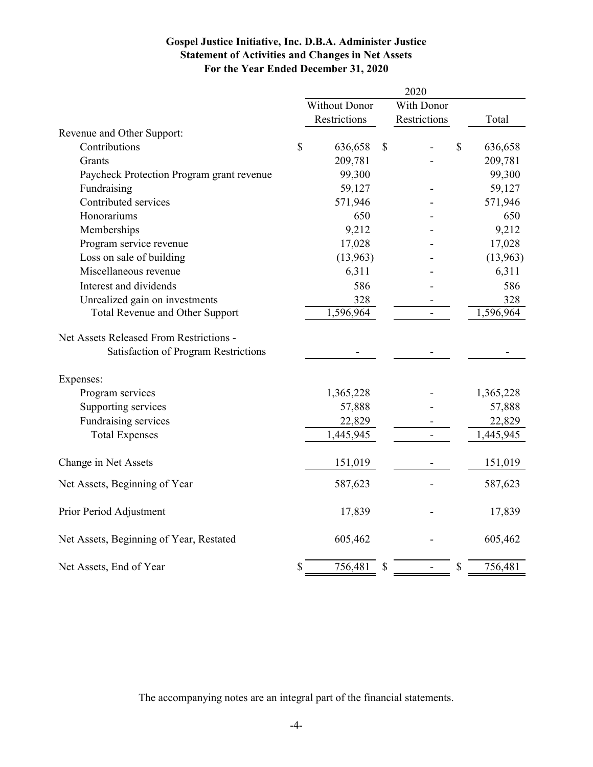# **Gospel Justice Initiative, Inc. D.B.A. Administer Justice Statement of Activities and Changes in Net Assets For the Year Ended December 31, 2020**

|                                           |               |                      | 2020                           |              |           |
|-------------------------------------------|---------------|----------------------|--------------------------------|--------------|-----------|
|                                           |               | <b>Without Donor</b> | With Donor                     |              |           |
|                                           |               | Restrictions         | Restrictions                   |              | Total     |
| Revenue and Other Support:                |               |                      |                                |              |           |
| Contributions                             | $\mathcal{S}$ | 636,658              | \$                             | \$           | 636,658   |
| Grants                                    |               | 209,781              |                                |              | 209,781   |
| Paycheck Protection Program grant revenue |               | 99,300               |                                |              | 99,300    |
| Fundraising                               |               | 59,127               |                                |              | 59,127    |
| Contributed services                      |               | 571,946              |                                |              | 571,946   |
| Honorariums                               |               | 650                  |                                |              | 650       |
| Memberships                               |               | 9,212                |                                |              | 9,212     |
| Program service revenue                   |               | 17,028               |                                |              | 17,028    |
| Loss on sale of building                  |               | (13,963)             |                                |              | (13,963)  |
| Miscellaneous revenue                     |               | 6,311                |                                |              | 6,311     |
| Interest and dividends                    |               | 586                  |                                |              | 586       |
| Unrealized gain on investments            |               | 328                  |                                |              | 328       |
| Total Revenue and Other Support           |               | 1,596,964            |                                |              | 1,596,964 |
| Net Assets Released From Restrictions -   |               |                      |                                |              |           |
| Satisfaction of Program Restrictions      |               |                      |                                |              |           |
| Expenses:                                 |               |                      |                                |              |           |
| Program services                          |               | 1,365,228            |                                |              | 1,365,228 |
| Supporting services                       |               | 57,888               |                                |              | 57,888    |
| Fundraising services                      |               | 22,829               |                                |              | 22,829    |
| <b>Total Expenses</b>                     |               | 1,445,945            | $\blacksquare$                 |              | 1,445,945 |
| Change in Net Assets                      |               | 151,019              |                                |              | 151,019   |
| Net Assets, Beginning of Year             |               | 587,623              |                                |              | 587,623   |
| Prior Period Adjustment                   |               | 17,839               |                                |              | 17,839    |
| Net Assets, Beginning of Year, Restated   |               | 605,462              |                                |              | 605,462   |
| Net Assets, End of Year                   | \$            | 756,481              | \$<br>$\overline{\phantom{0}}$ | $\mathbb{S}$ | 756,481   |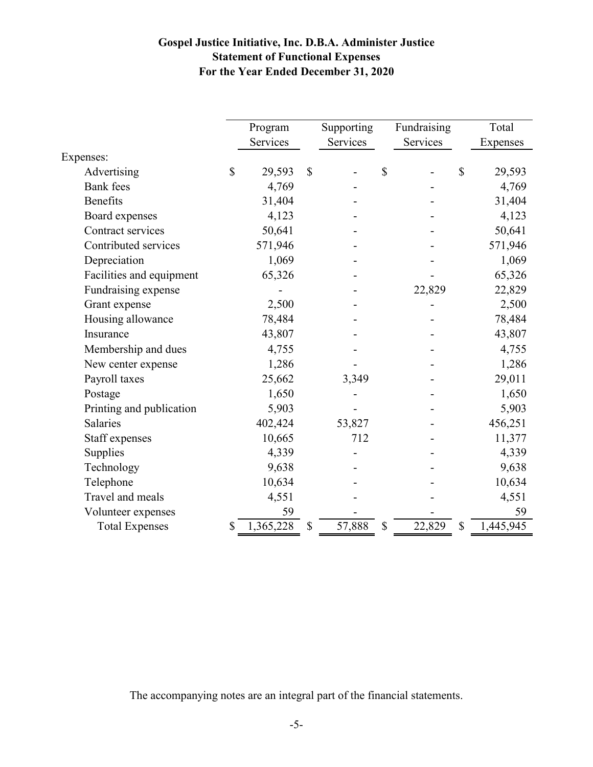# **Gospel Justice Initiative, Inc. D.B.A. Administer Justice Statement of Functional Expenses For the Year Ended December 31, 2020**

|                          |    | Program   |              | Supporting |              | Fundraising | Total           |
|--------------------------|----|-----------|--------------|------------|--------------|-------------|-----------------|
|                          |    | Services  |              | Services   |              | Services    | Expenses        |
| Expenses:                |    |           |              |            |              |             |                 |
| Advertising              | \$ | 29,593    | $\mathbb{S}$ |            | $\mathbb{S}$ |             | \$<br>29,593    |
| <b>Bank</b> fees         |    | 4,769     |              |            |              |             | 4,769           |
| <b>Benefits</b>          |    | 31,404    |              |            |              |             | 31,404          |
| Board expenses           |    | 4,123     |              |            |              |             | 4,123           |
| Contract services        |    | 50,641    |              |            |              |             | 50,641          |
| Contributed services     |    | 571,946   |              |            |              |             |                 |
|                          |    |           |              |            |              |             | 571,946         |
| Depreciation             |    | 1,069     |              |            |              |             | 1,069           |
| Facilities and equipment |    | 65,326    |              |            |              |             | 65,326          |
| Fundraising expense      |    |           |              |            |              | 22,829      | 22,829          |
| Grant expense            |    | 2,500     |              |            |              |             | 2,500           |
| Housing allowance        |    | 78,484    |              |            |              |             | 78,484          |
| Insurance                |    | 43,807    |              |            |              |             | 43,807          |
| Membership and dues      |    | 4,755     |              |            |              |             | 4,755           |
| New center expense       |    | 1,286     |              |            |              |             | 1,286           |
| Payroll taxes            |    | 25,662    |              | 3,349      |              |             | 29,011          |
| Postage                  |    | 1,650     |              |            |              |             | 1,650           |
| Printing and publication |    | 5,903     |              |            |              |             | 5,903           |
| <b>Salaries</b>          |    | 402,424   |              | 53,827     |              |             | 456,251         |
| Staff expenses           |    | 10,665    |              | 712        |              |             | 11,377          |
| Supplies                 |    | 4,339     |              |            |              |             | 4,339           |
| Technology               |    | 9,638     |              |            |              |             | 9,638           |
| Telephone                |    | 10,634    |              |            |              |             | 10,634          |
| Travel and meals         |    | 4,551     |              |            |              |             | 4,551           |
| Volunteer expenses       |    | 59        |              |            |              |             | 59              |
| <b>Total Expenses</b>    | S  | 1,365,228 | \$           | 57,888     | \$           | 22,829      | \$<br>1,445,945 |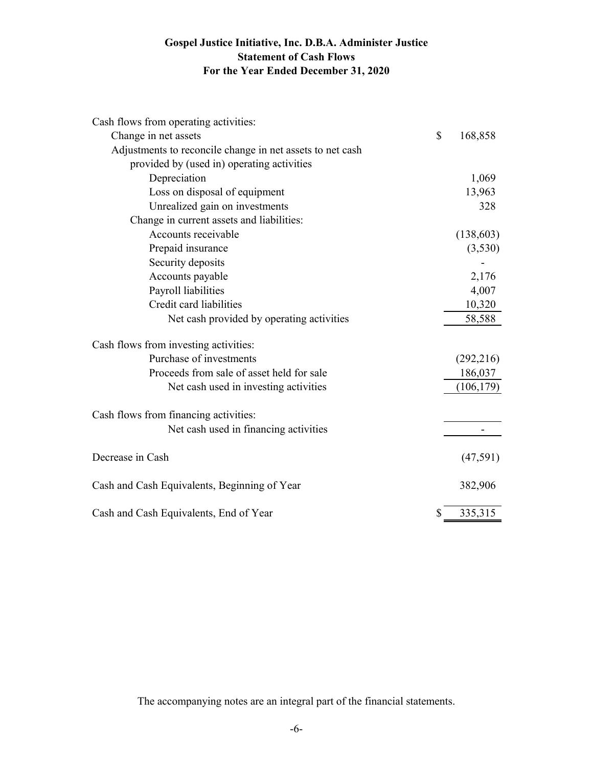# **Gospel Justice Initiative, Inc. D.B.A. Administer Justice Statement of Cash Flows For the Year Ended December 31, 2020**

| Cash flows from operating activities:                     |               |
|-----------------------------------------------------------|---------------|
| Change in net assets                                      | \$<br>168,858 |
| Adjustments to reconcile change in net assets to net cash |               |
| provided by (used in) operating activities                |               |
| Depreciation                                              | 1,069         |
| Loss on disposal of equipment                             | 13,963        |
| Unrealized gain on investments                            | 328           |
| Change in current assets and liabilities:                 |               |
| Accounts receivable                                       | (138, 603)    |
| Prepaid insurance                                         | (3,530)       |
| Security deposits                                         |               |
| Accounts payable                                          | 2,176         |
| Payroll liabilities                                       | 4,007         |
| Credit card liabilities                                   | 10,320        |
| Net cash provided by operating activities                 | 58,588        |
| Cash flows from investing activities:                     |               |
| Purchase of investments                                   | (292, 216)    |
| Proceeds from sale of asset held for sale                 | 186,037       |
| Net cash used in investing activities                     | (106, 179)    |
| Cash flows from financing activities:                     |               |
| Net cash used in financing activities                     |               |
| Decrease in Cash                                          | (47, 591)     |
| Cash and Cash Equivalents, Beginning of Year              | 382,906       |
| Cash and Cash Equivalents, End of Year                    | \$<br>335,315 |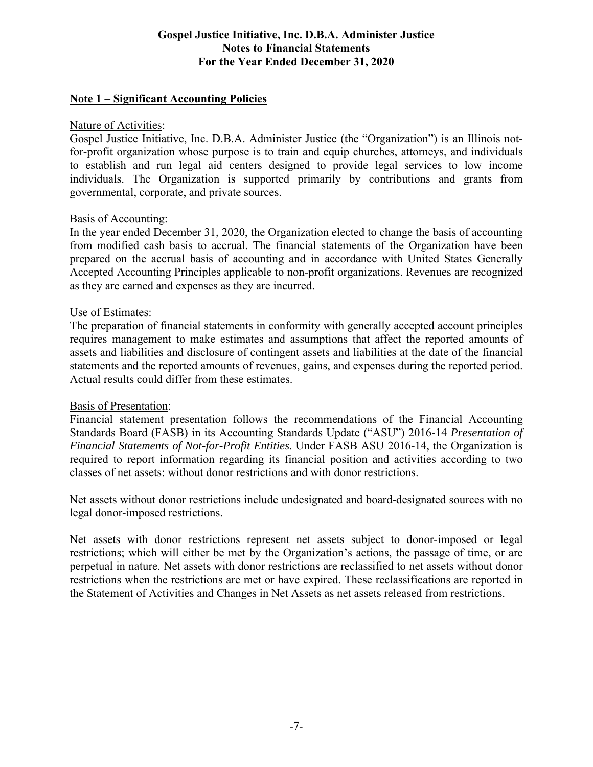# **Note 1 – Significant Accounting Policies**

#### Nature of Activities:

Gospel Justice Initiative, Inc. D.B.A. Administer Justice (the "Organization") is an Illinois notfor-profit organization whose purpose is to train and equip churches, attorneys, and individuals to establish and run legal aid centers designed to provide legal services to low income individuals. The Organization is supported primarily by contributions and grants from governmental, corporate, and private sources.

#### Basis of Accounting:

In the year ended December 31, 2020, the Organization elected to change the basis of accounting from modified cash basis to accrual. The financial statements of the Organization have been prepared on the accrual basis of accounting and in accordance with United States Generally Accepted Accounting Principles applicable to non-profit organizations. Revenues are recognized as they are earned and expenses as they are incurred.

#### Use of Estimates:

The preparation of financial statements in conformity with generally accepted account principles requires management to make estimates and assumptions that affect the reported amounts of assets and liabilities and disclosure of contingent assets and liabilities at the date of the financial statements and the reported amounts of revenues, gains, and expenses during the reported period. Actual results could differ from these estimates.

#### Basis of Presentation:

Financial statement presentation follows the recommendations of the Financial Accounting Standards Board (FASB) in its Accounting Standards Update ("ASU") 2016-14 *Presentation of Financial Statements of Not-for-Profit Entities*. Under FASB ASU 2016-14, the Organization is required to report information regarding its financial position and activities according to two classes of net assets: without donor restrictions and with donor restrictions.

Net assets without donor restrictions include undesignated and board-designated sources with no legal donor-imposed restrictions.

Net assets with donor restrictions represent net assets subject to donor-imposed or legal restrictions; which will either be met by the Organization's actions, the passage of time, or are perpetual in nature. Net assets with donor restrictions are reclassified to net assets without donor restrictions when the restrictions are met or have expired. These reclassifications are reported in the Statement of Activities and Changes in Net Assets as net assets released from restrictions.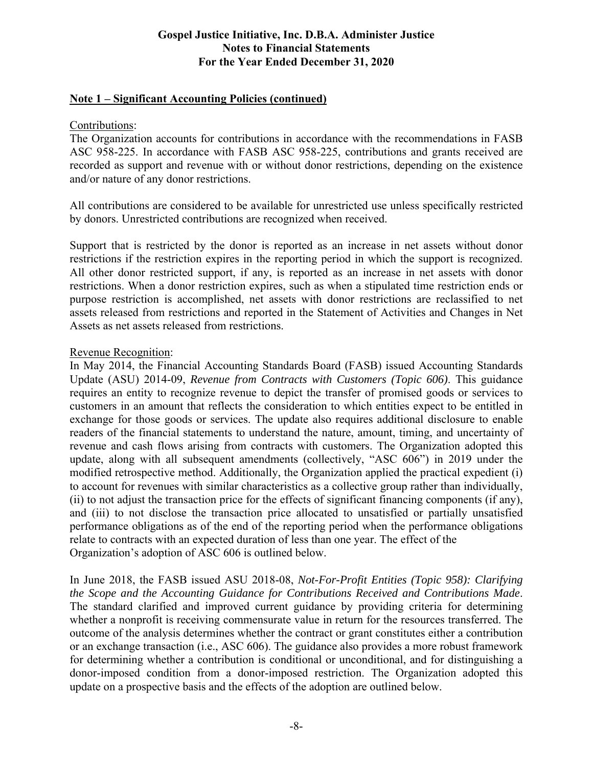### **Note 1 – Significant Accounting Policies (continued)**

### Contributions:

The Organization accounts for contributions in accordance with the recommendations in FASB ASC 958-225. In accordance with FASB ASC 958-225, contributions and grants received are recorded as support and revenue with or without donor restrictions, depending on the existence and/or nature of any donor restrictions.

All contributions are considered to be available for unrestricted use unless specifically restricted by donors. Unrestricted contributions are recognized when received.

Support that is restricted by the donor is reported as an increase in net assets without donor restrictions if the restriction expires in the reporting period in which the support is recognized. All other donor restricted support, if any, is reported as an increase in net assets with donor restrictions. When a donor restriction expires, such as when a stipulated time restriction ends or purpose restriction is accomplished, net assets with donor restrictions are reclassified to net assets released from restrictions and reported in the Statement of Activities and Changes in Net Assets as net assets released from restrictions.

#### Revenue Recognition:

In May 2014, the Financial Accounting Standards Board (FASB) issued Accounting Standards Update (ASU) 2014-09, *Revenue from Contracts with Customers (Topic 606)*. This guidance requires an entity to recognize revenue to depict the transfer of promised goods or services to customers in an amount that reflects the consideration to which entities expect to be entitled in exchange for those goods or services. The update also requires additional disclosure to enable readers of the financial statements to understand the nature, amount, timing, and uncertainty of revenue and cash flows arising from contracts with customers. The Organization adopted this update, along with all subsequent amendments (collectively, "ASC 606") in 2019 under the modified retrospective method. Additionally, the Organization applied the practical expedient (i) to account for revenues with similar characteristics as a collective group rather than individually, (ii) to not adjust the transaction price for the effects of significant financing components (if any), and (iii) to not disclose the transaction price allocated to unsatisfied or partially unsatisfied performance obligations as of the end of the reporting period when the performance obligations relate to contracts with an expected duration of less than one year. The effect of the Organization's adoption of ASC 606 is outlined below.

In June 2018, the FASB issued ASU 2018-08, *Not-For-Profit Entities (Topic 958): Clarifying the Scope and the Accounting Guidance for Contributions Received and Contributions Made*. The standard clarified and improved current guidance by providing criteria for determining whether a nonprofit is receiving commensurate value in return for the resources transferred. The outcome of the analysis determines whether the contract or grant constitutes either a contribution or an exchange transaction (i.e., ASC 606). The guidance also provides a more robust framework for determining whether a contribution is conditional or unconditional, and for distinguishing a donor-imposed condition from a donor-imposed restriction. The Organization adopted this update on a prospective basis and the effects of the adoption are outlined below.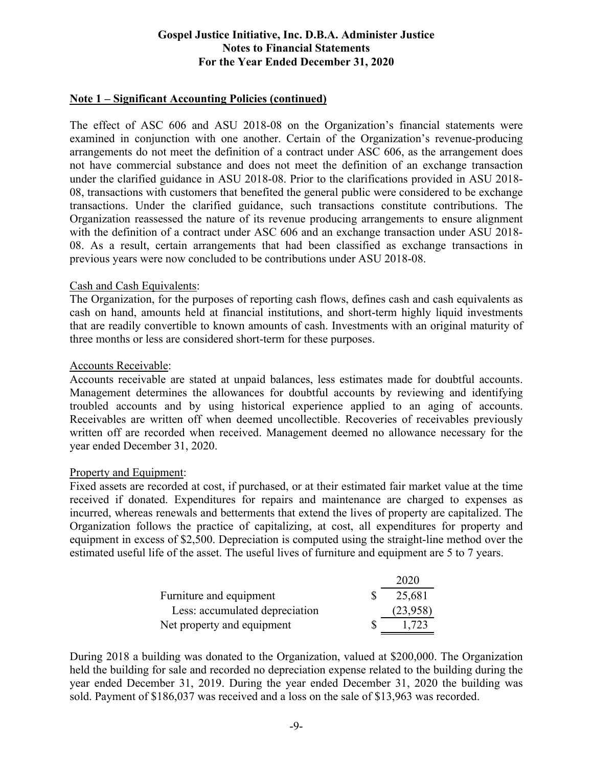#### **Note 1 – Significant Accounting Policies (continued)**

The effect of ASC 606 and ASU 2018-08 on the Organization's financial statements were examined in conjunction with one another. Certain of the Organization's revenue-producing arrangements do not meet the definition of a contract under ASC 606, as the arrangement does not have commercial substance and does not meet the definition of an exchange transaction under the clarified guidance in ASU 2018-08. Prior to the clarifications provided in ASU 2018- 08, transactions with customers that benefited the general public were considered to be exchange transactions. Under the clarified guidance, such transactions constitute contributions. The Organization reassessed the nature of its revenue producing arrangements to ensure alignment with the definition of a contract under ASC 606 and an exchange transaction under ASU 2018- 08. As a result, certain arrangements that had been classified as exchange transactions in previous years were now concluded to be contributions under ASU 2018-08.

#### Cash and Cash Equivalents:

The Organization, for the purposes of reporting cash flows, defines cash and cash equivalents as cash on hand, amounts held at financial institutions, and short-term highly liquid investments that are readily convertible to known amounts of cash. Investments with an original maturity of three months or less are considered short-term for these purposes.

#### Accounts Receivable:

Accounts receivable are stated at unpaid balances, less estimates made for doubtful accounts. Management determines the allowances for doubtful accounts by reviewing and identifying troubled accounts and by using historical experience applied to an aging of accounts. Receivables are written off when deemed uncollectible. Recoveries of receivables previously written off are recorded when received. Management deemed no allowance necessary for the year ended December 31, 2020.

#### Property and Equipment:

Fixed assets are recorded at cost, if purchased, or at their estimated fair market value at the time received if donated. Expenditures for repairs and maintenance are charged to expenses as incurred, whereas renewals and betterments that extend the lives of property are capitalized. The Organization follows the practice of capitalizing, at cost, all expenditures for property and equipment in excess of \$2,500. Depreciation is computed using the straight-line method over the estimated useful life of the asset. The useful lives of furniture and equipment are 5 to 7 years.

|                                | 2020     |
|--------------------------------|----------|
| Furniture and equipment        | 25,681   |
| Less: accumulated depreciation | (23,958) |
| Net property and equipment     | 1,723    |

During 2018 a building was donated to the Organization, valued at \$200,000. The Organization held the building for sale and recorded no depreciation expense related to the building during the year ended December 31, 2019. During the year ended December 31, 2020 the building was sold. Payment of \$186,037 was received and a loss on the sale of \$13,963 was recorded.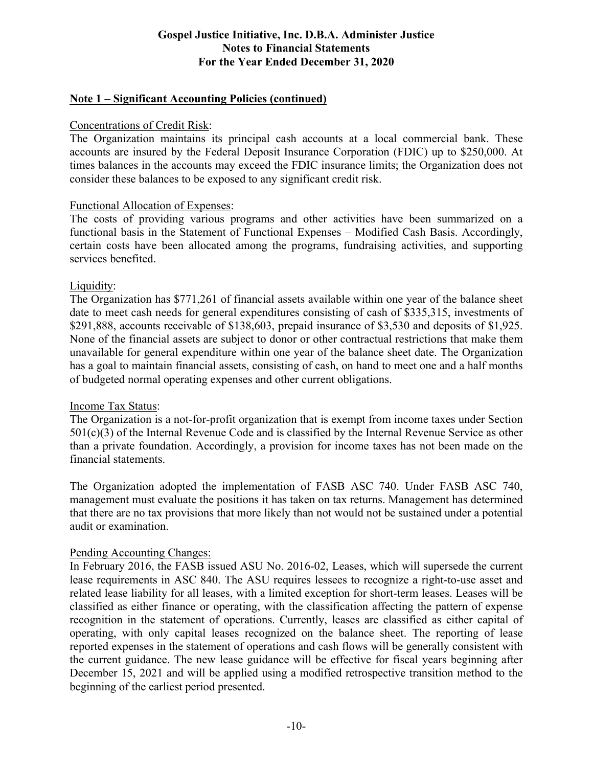# **Note 1 – Significant Accounting Policies (continued)**

#### Concentrations of Credit Risk:

The Organization maintains its principal cash accounts at a local commercial bank. These accounts are insured by the Federal Deposit Insurance Corporation (FDIC) up to \$250,000. At times balances in the accounts may exceed the FDIC insurance limits; the Organization does not consider these balances to be exposed to any significant credit risk.

#### Functional Allocation of Expenses:

The costs of providing various programs and other activities have been summarized on a functional basis in the Statement of Functional Expenses – Modified Cash Basis. Accordingly, certain costs have been allocated among the programs, fundraising activities, and supporting services benefited.

#### Liquidity:

The Organization has \$771,261 of financial assets available within one year of the balance sheet date to meet cash needs for general expenditures consisting of cash of \$335,315, investments of \$291,888, accounts receivable of \$138,603, prepaid insurance of \$3,530 and deposits of \$1,925. None of the financial assets are subject to donor or other contractual restrictions that make them unavailable for general expenditure within one year of the balance sheet date. The Organization has a goal to maintain financial assets, consisting of cash, on hand to meet one and a half months of budgeted normal operating expenses and other current obligations.

#### Income Tax Status:

The Organization is a not-for-profit organization that is exempt from income taxes under Section  $501(c)(3)$  of the Internal Revenue Code and is classified by the Internal Revenue Service as other than a private foundation. Accordingly, a provision for income taxes has not been made on the financial statements.

The Organization adopted the implementation of FASB ASC 740. Under FASB ASC 740, management must evaluate the positions it has taken on tax returns. Management has determined that there are no tax provisions that more likely than not would not be sustained under a potential audit or examination.

#### Pending Accounting Changes:

In February 2016, the FASB issued ASU No. 2016-02, Leases, which will supersede the current lease requirements in ASC 840. The ASU requires lessees to recognize a right-to-use asset and related lease liability for all leases, with a limited exception for short-term leases. Leases will be classified as either finance or operating, with the classification affecting the pattern of expense recognition in the statement of operations. Currently, leases are classified as either capital of operating, with only capital leases recognized on the balance sheet. The reporting of lease reported expenses in the statement of operations and cash flows will be generally consistent with the current guidance. The new lease guidance will be effective for fiscal years beginning after December 15, 2021 and will be applied using a modified retrospective transition method to the beginning of the earliest period presented.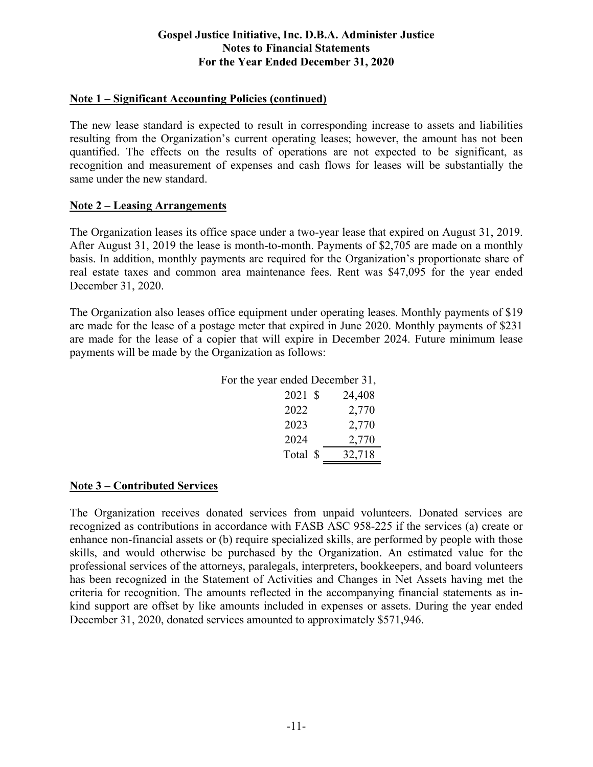# **Note 1 – Significant Accounting Policies (continued)**

The new lease standard is expected to result in corresponding increase to assets and liabilities resulting from the Organization's current operating leases; however, the amount has not been quantified. The effects on the results of operations are not expected to be significant, as recognition and measurement of expenses and cash flows for leases will be substantially the same under the new standard.

# **Note 2 – Leasing Arrangements**

The Organization leases its office space under a two-year lease that expired on August 31, 2019. After August 31, 2019 the lease is month-to-month. Payments of \$2,705 are made on a monthly basis. In addition, monthly payments are required for the Organization's proportionate share of real estate taxes and common area maintenance fees. Rent was \$47,095 for the year ended December 31, 2020.

The Organization also leases office equipment under operating leases. Monthly payments of \$19 are made for the lease of a postage meter that expired in June 2020. Monthly payments of \$231 are made for the lease of a copier that will expire in December 2024. Future minimum lease payments will be made by the Organization as follows:

| For the year ended December 31, |        |
|---------------------------------|--------|
| 2021 \$                         | 24,408 |
| 2022                            | 2,770  |
| 2023                            | 2,770  |
| 2024                            | 2,770  |
| Total \$                        | 32,718 |

# **Note 3 – Contributed Services**

The Organization receives donated services from unpaid volunteers. Donated services are recognized as contributions in accordance with FASB ASC 958-225 if the services (a) create or enhance non-financial assets or (b) require specialized skills, are performed by people with those skills, and would otherwise be purchased by the Organization. An estimated value for the professional services of the attorneys, paralegals, interpreters, bookkeepers, and board volunteers has been recognized in the Statement of Activities and Changes in Net Assets having met the criteria for recognition. The amounts reflected in the accompanying financial statements as inkind support are offset by like amounts included in expenses or assets. During the year ended December 31, 2020, donated services amounted to approximately \$571,946.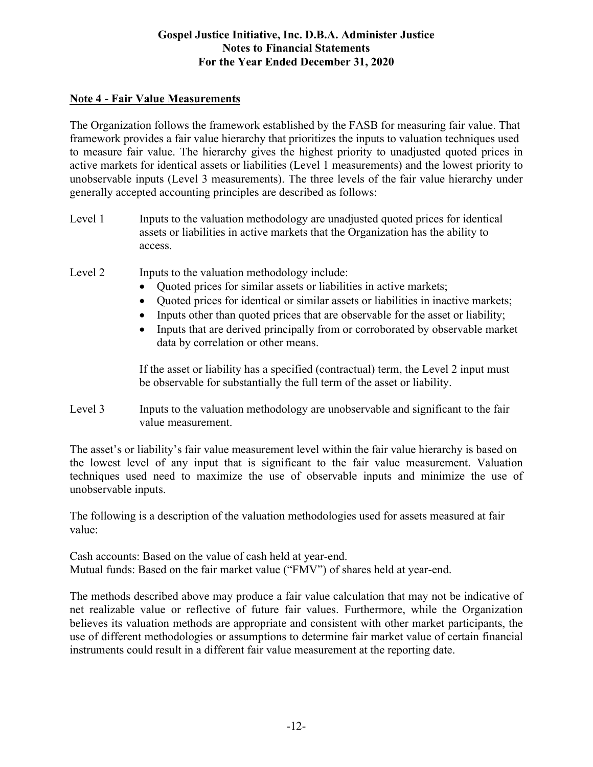# **Note 4 - Fair Value Measurements**

The Organization follows the framework established by the FASB for measuring fair value. That framework provides a fair value hierarchy that prioritizes the inputs to valuation techniques used to measure fair value. The hierarchy gives the highest priority to unadjusted quoted prices in active markets for identical assets or liabilities (Level 1 measurements) and the lowest priority to unobservable inputs (Level 3 measurements). The three levels of the fair value hierarchy under generally accepted accounting principles are described as follows:

Level 1 Inputs to the valuation methodology are unadjusted quoted prices for identical assets or liabilities in active markets that the Organization has the ability to access.

Level 2 Inputs to the valuation methodology include:

- Quoted prices for similar assets or liabilities in active markets;
- Quoted prices for identical or similar assets or liabilities in inactive markets;
- Inputs other than quoted prices that are observable for the asset or liability;
- Inputs that are derived principally from or corroborated by observable market data by correlation or other means.

If the asset or liability has a specified (contractual) term, the Level 2 input must be observable for substantially the full term of the asset or liability.

Level 3 Inputs to the valuation methodology are unobservable and significant to the fair value measurement.

The asset's or liability's fair value measurement level within the fair value hierarchy is based on the lowest level of any input that is significant to the fair value measurement. Valuation techniques used need to maximize the use of observable inputs and minimize the use of unobservable inputs.

The following is a description of the valuation methodologies used for assets measured at fair value:

Cash accounts: Based on the value of cash held at year-end. Mutual funds: Based on the fair market value ("FMV") of shares held at year-end.

The methods described above may produce a fair value calculation that may not be indicative of net realizable value or reflective of future fair values. Furthermore, while the Organization believes its valuation methods are appropriate and consistent with other market participants, the use of different methodologies or assumptions to determine fair market value of certain financial instruments could result in a different fair value measurement at the reporting date.